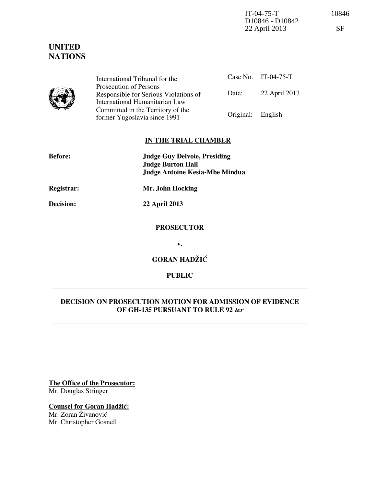IT-04-75-T 10846 D10846 - D10842 22 April 2013 SF

# **UNITED NATIONS**

|--|

Prosecution of Persons Responsible for Serious Violations of International Humanitarian Law Committed in the Territory of the Former Yugoslavia since 1991 **Original:** English

Case No. IT-04-75-T Date: 22 April 2013

**IN THE TRIAL CHAMBER** 

| <b>Before:</b>    | <b>Judge Guy Delvoie, Presiding</b><br><b>Judge Burton Hall</b><br><b>Judge Antoine Kesia-Mbe Mindua</b> |
|-------------------|----------------------------------------------------------------------------------------------------------|
| <b>Registrar:</b> | Mr. John Hocking                                                                                         |
| Decision:         | 22 April 2013                                                                                            |
|                   | <b>PROSECUTOR</b>                                                                                        |

**v.** 

**GORAN HADŽIĆ** 

**PUBLIC** 

## **DECISION ON PROSECUTION MOTION FOR ADMISSION OF EVIDENCE OF GH-135 PURSUANT TO RULE 92 ter**

**The Office of the Prosecutor:** Mr. Douglas Stringer

**Counsel for Goran Hadžić:** Mr. Zoran Živanović Mr. Christopher Gosnell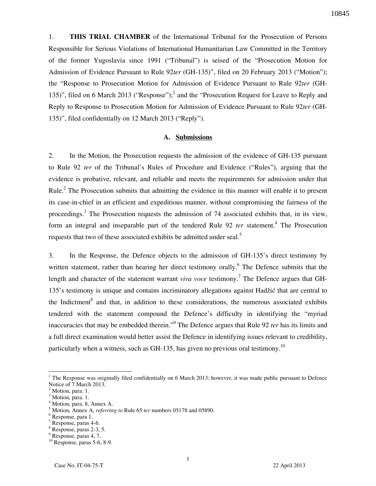1. **THIS TRIAL CHAMBER** of the International Tribunal for the Prosecution of Persons Responsible for Serious Violations of International Humanitarian Law Committed in the Territory of the former Yugoslavia since 1991 ("Tribunal") is seised of the "Prosecution Motion for Admission of Evidence Pursuant to Rule 92*ter* (GH-135)", filed on 20 February 2013 ("Motion"); the "Response to Prosecution Motion for Admission of Evidence Pursuant to Rule 92*ter* (GH-135)", filed on 6 March 2013 ("Response");<sup>1</sup> and the "Prosecution Request for Leave to Reply and Reply to Response to Prosecution Motion for Admission of Evidence Pursuant to Rule 92*ter* (GH-135)", filed confidentially on 12 March 2013 ("Reply").

#### **A. Submissions**

2. In the Motion, the Prosecution requests the admission of the evidence of GH-135 pursuant to Rule 92 *ter* of the Tribunal's Rules of Procedure and Evidence ("Rules"), arguing that the evidence is probative, relevant, and reliable and meets the requirements for admission under that Rule.<sup>2</sup> The Prosecution submits that admitting the evidence in this manner will enable it to present its case-in-chief in an efficient and expeditious manner, without compromising the fairness of the proceedings.<sup>3</sup> The Prosecution requests the admission of 74 associated exhibits that, in its view, form an integral and inseparable part of the tendered Rule 92 *ter* statement.<sup>4</sup> The Prosecution requests that two of these associated exhibits be admitted under seal.<sup>5</sup>

3. In the Response, the Defence objects to the admission of GH-135's direct testimony by written statement, rather than hearing her direct testimony orally. <sup>6</sup> The Defence submits that the length and character of the statement warrant *viva voce* testimony.<sup>7</sup> The Defence argues that GH-135's testimony is unique and contains incriminatory allegations against Hadžić that are central to the Indictment<sup>8</sup> and that, in addition to these considerations, the numerous associated exhibits tendered with the statement compound the Defence's difficulty in identifying the "myriad inaccuracies that may be embedded therein."<sup>9</sup> The Defence argues that Rule 92 *ter* has its limits and a full direct examination would better assist the Defence in identifying issues relevant to credibility, particularly when a witness, such as GH-135, has given no previous oral testimony.<sup>10</sup>

 $\overline{a}$ 

<sup>&</sup>lt;sup>1</sup> The Response was originally filed confidentially on 6 March 2013; however, it was made public pursuant to Defence Notice of 7 March 2013.

<sup>&</sup>lt;sup>2</sup> Motion, para. 1.

<sup>&</sup>lt;sup>3</sup> Motion, para. 1.

 $^{4}$  Motion, para. 8, Annex A.

Motion, Annex A, *referring to* Rule 65 *ter* numbers 05178 and 05890.

 $^6$  Response, para 1.

Response, paras 4-6.

<sup>8</sup> Response, paras 2-3, 5.

<sup>9</sup> Response, paras 4, 7.

<sup>10</sup> Response, paras 5-6, 8-9.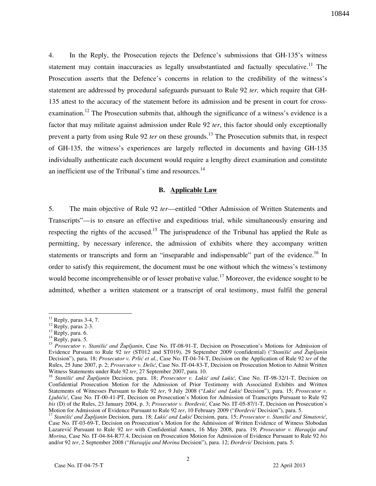4. In the Reply, the Prosecution rejects the Defence's submissions that GH-135's witness statement may contain inaccuracies as legally unsubstantiated and factually speculative.<sup>11</sup> The Prosecution asserts that the Defence's concerns in relation to the credibility of the witness's statement are addressed by procedural safeguards pursuant to Rule 92 *ter,* which require that GH-135 attest to the accuracy of the statement before its admission and be present in court for crossexamination.<sup>12</sup> The Prosecution submits that, although the significance of a witness's evidence is a factor that may militate against admission under Rule 92 *ter*, this factor should only exceptionally prevent a party from using Rule 92 *ter* on these grounds.<sup>13</sup> The Prosecution submits that, in respect of GH-135, the witness's experiences are largely reflected in documents and having GH-135 individually authenticate each document would require a lengthy direct examination and constitute an inefficient use of the Tribunal's time and resources. $^{14}$ 

## **B. Applicable Law**

5. The main objective of Rule 92 *ter*—entitled "Other Admission of Written Statements and Transcripts"—is to ensure an effective and expeditious trial, while simultaneously ensuring and respecting the rights of the accused.<sup>15</sup> The jurisprudence of the Tribunal has applied the Rule as permitting, by necessary inference, the admission of exhibits where they accompany written statements or transcripts and form an "inseparable and indispensable" part of the evidence.<sup>16</sup> In order to satisfy this requirement, the document must be one without which the witness's testimony would become incomprehensible or of lesser probative value.<sup>17</sup> Moreover, the evidence sought to be admitted, whether a written statement or a transcript of oral testimony, must fulfil the general

 $\overline{a}$ 

 $11$  Reply, paras 3-4, 7.

<sup>&</sup>lt;sup>12</sup> Reply, paras 2-3.

 $^{13}$  Reply, para. 6.

 $14$  Reply, para. 5.

<sup>&</sup>lt;sup>15</sup> *Prosecutor v. Stanišić and Župljanin*, Case No. IT-08-91-T, Decision on Prosecution's Motions for Admission of Evidence Pursuant to Rule 92 *ter* (ST012 and ST019), 29 September 2009 (confidential) ("*Stanišić and Župljanin* Decision"), para. 18; *Prosecutor v. Prlić et al.*, Case No. IT-04-74-T, Decision on the Application of Rule 92 *ter* of the Rules, 25 June 2007, p. 2; *Prosecutor v. Delić*, Case No. IT-04-83-T, Decision on Prosecution Motion to Admit Written Witness Statements under Rule 92 *ter*, 27 September 2007, para. 10.

<sup>&</sup>lt;sup>16</sup> *Stanišić and Župljanin* Decision, para. 18; *Prosecutor v. Lukić and Lukić*, Case No. IT-98-32/1-T, Decision on Confidential Prosecution Motion for the Admission of Prior Testimony with Associated Exhibits and Written Statements of Witnesses Pursuant to Rule 92 ter, 9 July 2008 ("Lukić and Lukić Decision"), para. 15; *Prosecutor v. Ljubičić*, Case No. IT-00-41-PT, Decision on Prosecution's Motion for Admission of Transcripts Pursuant to Rule 92 *bis* (D) of the Rules, 23 January 2004, p. 3; *Prosecutor v. Đorđević*, Case No. IT-05-87/1-T, Decision on Prosecution's Motion for Admission of Evidence Pursuant to Rule 92 ter, 10 February 2009 ("*Đorđević* Decision"), para. 5.

<sup>&</sup>lt;sup>17</sup> Stanišić and Župljanin Decision, para. 18; Lukić and Lukić Decision, para. 15; Prosecutor v. Stanišić and Simatović, Case No. IT-03-69-T, Decision on Prosecution's Motion for the Admission of Written Evidence of Witness Slobodan Lazarevi} Pursuant to Rule 92 *ter* with Confidential Annex, 16 May 2008, para. 19; *Prosecutor v. Haraqija and Morina*, Case No. IT-04-84-R77.4, Decision on Prosecution Motion for Admission of Evidence Pursuant to Rule 92 *bis* and/or 92 ter, 2 September 2008 ("Haraqija and Morina Decision"), para. 12; *Đorđević* Decision, para. 5.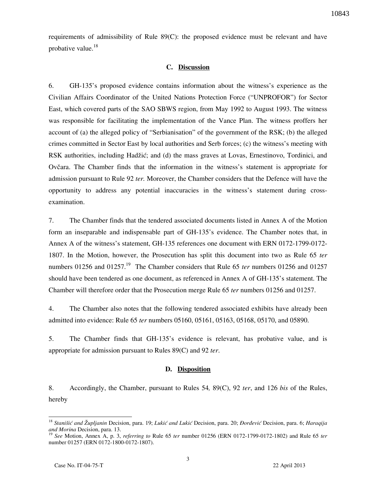requirements of admissibility of Rule 89(C): the proposed evidence must be relevant and have probative value. $18$ 

## **C. Discussion**

6. GH-135's proposed evidence contains information about the witness's experience as the Civilian Affairs Coordinator of the United Nations Protection Force ("UNPROFOR") for Sector East, which covered parts of the SAO SBWS region, from May 1992 to August 1993. The witness was responsible for facilitating the implementation of the Vance Plan. The witness proffers her account of (a) the alleged policy of "Serbianisation" of the government of the RSK; (b) the alleged crimes committed in Sector East by local authorities and Serb forces; (c) the witness's meeting with RSK authorities, including Hadžić; and (d) the mass graves at Lovas, Ernestinovo, Tordinici, and Ovčara. The Chamber finds that the information in the witness's statement is appropriate for admission pursuant to Rule 92 *ter.* Moreover, the Chamber considers that the Defence will have the opportunity to address any potential inaccuracies in the witness's statement during crossexamination.

7. The Chamber finds that the tendered associated documents listed in Annex A of the Motion form an inseparable and indispensable part of GH-135's evidence. The Chamber notes that, in Annex A of the witness's statement, GH-135 references one document with ERN 0172-1799-0172- 1807. In the Motion, however, the Prosecution has split this document into two as Rule 65 *ter* numbers 01256 and 01257.<sup>19</sup> The Chamber considers that Rule 65 *ter* numbers 01256 and 01257 should have been tendered as one document, as referenced in Annex A of GH-135's statement. The Chamber will therefore order that the Prosecution merge Rule 65 *ter* numbers 01256 and 01257.

4. The Chamber also notes that the following tendered associated exhibits have already been admitted into evidence: Rule 65 *ter* numbers 05160, 05161, 05163, 05168, 05170, and 05890.

5. The Chamber finds that GH-135's evidence is relevant, has probative value, and is appropriate for admission pursuant to Rules 89(C) and 92 *ter*.

#### **D. Disposition**

8. Accordingly, the Chamber, pursuant to Rules 54*,* 89(C), 92 *ter*, and 126 *bis* of the Rules, hereby

 $\overline{a}$ 

<sup>&</sup>lt;sup>18</sup> Stanišić and Župljanin Decision, para. 19; Lukić and Lukić Decision, para. 20; *Đorđević* Decision, para. 6; Haraqija *and Morina* Decision, para. 13.

<sup>19</sup> *See* Motion, Annex A, p. 3, *referring to* Rule 65 *ter* number 01256 (ERN 0172-1799-0172-1802) and Rule 65 *ter* number 01257 (ERN 0172-1800-0172-1807).